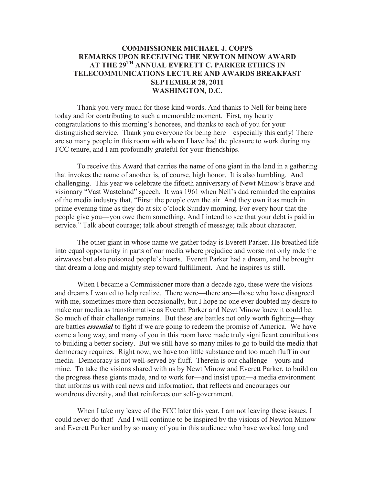## **COMMISSIONER MICHAEL J. COPPS REMARKS UPON RECEIVING THE NEWTON MINOW AWARD AT THE 29TH ANNUAL EVERETT C. PARKER ETHICS IN TELECOMMUNICATIONS LECTURE AND AWARDS BREAKFAST SEPTEMBER 28, 2011 WASHINGTON, D.C.**

Thank you very much for those kind words. And thanks to Nell for being here today and for contributing to such a memorable moment. First, my hearty congratulations to this morning's honorees, and thanks to each of you for your distinguished service. Thank you everyone for being here—especially this early! There are so many people in this room with whom I have had the pleasure to work during my FCC tenure, and I am profoundly grateful for your friendships.

To receive this Award that carries the name of one giant in the land in a gathering that invokes the name of another is, of course, high honor. It is also humbling. And challenging. This year we celebrate the fiftieth anniversary of Newt Minow's brave and visionary "Vast Wasteland" speech. It was 1961 when Nell's dad reminded the captains of the media industry that, "First: the people own the air. And they own it as much in prime evening time as they do at six o'clock Sunday morning. For every hour that the people give you—you owe them something. And I intend to see that your debt is paid in service." Talk about courage; talk about strength of message; talk about character.

The other giant in whose name we gather today is Everett Parker. He breathed life into equal opportunity in parts of our media where prejudice and worse not only rode the airwaves but also poisoned people's hearts. Everett Parker had a dream, and he brought that dream a long and mighty step toward fulfillment. And he inspires us still.

When I became a Commissioner more than a decade ago, these were the visions and dreams I wanted to help realize. There were—there are—those who have disagreed with me, sometimes more than occasionally, but I hope no one ever doubted my desire to make our media as transformative as Everett Parker and Newt Minow knew it could be. So much of their challenge remains. But these are battles not only worth fighting—they are battles *essential* to fight if we are going to redeem the promise of America. We have come a long way, and many of you in this room have made truly significant contributions to building a better society. But we still have so many miles to go to build the media that democracy requires. Right now, we have too little substance and too much fluff in our media. Democracy is not well-served by fluff. Therein is our challenge—yours and mine. To take the visions shared with us by Newt Minow and Everett Parker, to build on the progress these giants made, and to work for—and insist upon—a media environment that informs us with real news and information, that reflects and encourages our wondrous diversity, and that reinforces our self-government.

When I take my leave of the FCC later this year, I am not leaving these issues. I could never do that! And I will continue to be inspired by the visions of Newton Minow and Everett Parker and by so many of you in this audience who have worked long and